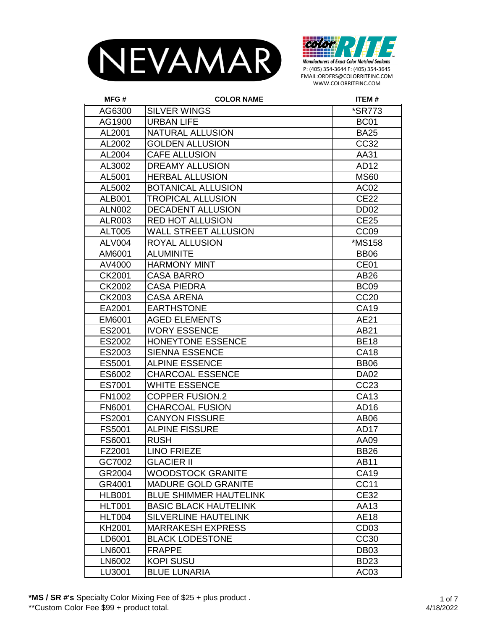



| MFG#          | <b>COLOR NAME</b>             | <b>ITEM#</b>         |
|---------------|-------------------------------|----------------------|
| AG6300        | <b>SILVER WINGS</b>           | <i><b>*SR773</b></i> |
| AG1900        | <b>URBAN LIFE</b>             | BC <sub>01</sub>     |
| AL2001        | NATURAL ALLUSION              | <b>BA25</b>          |
| AL2002        | <b>GOLDEN ALLUSION</b>        | CC32                 |
| AL2004        | <b>CAFE ALLUSION</b>          | AA31                 |
| AL3002        | <b>DREAMY ALLUSION</b>        | AD12                 |
| AL5001        | <b>HERBAL ALLUSION</b>        | <b>MS60</b>          |
| AL5002        | <b>BOTANICAL ALLUSION</b>     | AC <sub>02</sub>     |
| <b>ALB001</b> | <b>TROPICAL ALLUSION</b>      | <b>CE22</b>          |
| <b>ALN002</b> | <b>DECADENT ALLUSION</b>      | DD <sub>02</sub>     |
| <b>ALR003</b> | <b>RED HOT ALLUSION</b>       | <b>CE25</b>          |
| <b>ALT005</b> | <b>WALL STREET ALLUSION</b>   | CC <sub>09</sub>     |
| <b>ALV004</b> | ROYAL ALLUSION                | *MS158               |
| AM6001        | <b>ALUMINITE</b>              | <b>BB06</b>          |
| AV4000        | <b>HARMONY MINT</b>           | CE01                 |
| CK2001        | <b>CASA BARRO</b>             | AB26                 |
| CK2002        | CASA PIEDRA                   | BC <sub>09</sub>     |
| CK2003        | <b>CASA ARENA</b>             | <b>CC20</b>          |
| EA2001        | <b>EARTHSTONE</b>             | CA19                 |
| EM6001        | <b>AGED ELEMENTS</b>          | AE21                 |
| ES2001        | <b>IVORY ESSENCE</b>          | AB21                 |
| ES2002        | <b>HONEYTONE ESSENCE</b>      | <b>BE18</b>          |
| ES2003        | <b>SIENNA ESSENCE</b>         | <b>CA18</b>          |
| ES5001        | <b>ALPINE ESSENCE</b>         | <b>BB06</b>          |
| ES6002        | <b>CHARCOAL ESSENCE</b>       | <b>DA02</b>          |
| ES7001        | <b>WHITE ESSENCE</b>          | CC23                 |
| FN1002        | <b>COPPER FUSION.2</b>        | CA13                 |
| <b>FN6001</b> | <b>CHARCOAL FUSION</b>        | AD16                 |
| FS2001        | <b>CANYON FISSURE</b>         | AB <sub>06</sub>     |
| FS5001        | <b>ALPINE FISSURE</b>         | <b>AD17</b>          |
| FS6001        | <b>RUSH</b>                   | AA09                 |
| FZ2001        | <b>LINO FRIEZE</b>            | <b>BB26</b>          |
| GC7002        | <b>GLACIER II</b>             | AB11                 |
| GR2004        | <b>WOODSTOCK GRANITE</b>      | CA19                 |
| GR4001        | <b>MADURE GOLD GRANITE</b>    | <b>CC11</b>          |
| HLB001        | <b>BLUE SHIMMER HAUTELINK</b> | <b>CE32</b>          |
| HLT001        | <b>BASIC BLACK HAUTELINK</b>  | AA13                 |
| <b>HLT004</b> | <b>SILVERLINE HAUTELINK</b>   | <b>AE18</b>          |
| KH2001        | <b>MARRAKESH EXPRESS</b>      | CD <sub>03</sub>     |
| LD6001        | <b>BLACK LODESTONE</b>        | CC30                 |
| LN6001        | <b>FRAPPE</b>                 | DB <sub>03</sub>     |
| LN6002        | <b>KOPI SUSU</b>              | <b>BD23</b>          |
| LU3001        | <b>BLUE LUNARIA</b>           | AC <sub>03</sub>     |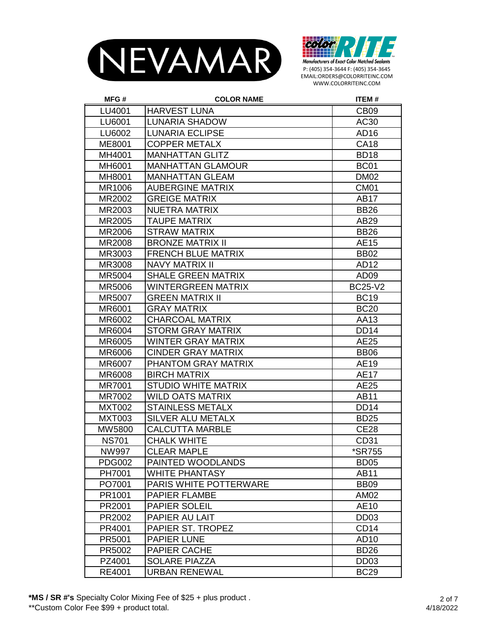



| MFG#          | <b>COLOR NAME</b>             | <b>ITEM#</b>     |
|---------------|-------------------------------|------------------|
| LU4001        | <b>HARVEST LUNA</b>           | CB <sub>09</sub> |
| LU6001        | <b>LUNARIA SHADOW</b>         | AC30             |
| LU6002        | <b>LUNARIA ECLIPSE</b>        | AD <sub>16</sub> |
| ME8001        | <b>COPPER METALX</b>          | <b>CA18</b>      |
| MH4001        | <b>MANHATTAN GLITZ</b>        | <b>BD18</b>      |
| MH6001        | <b>MANHATTAN GLAMOUR</b>      | <b>BC01</b>      |
| MH8001        | <b>MANHATTAN GLEAM</b>        | <b>DM02</b>      |
| MR1006        | <b>AUBERGINE MATRIX</b>       | CM <sub>01</sub> |
| MR2002        | <b>GREIGE MATRIX</b>          | <b>AB17</b>      |
| MR2003        | <b>NUETRA MATRIX</b>          | <b>BB26</b>      |
| MR2005        | <b>TAUPE MATRIX</b>           | AB29             |
| MR2006        | <b>STRAW MATRIX</b>           | <b>BB26</b>      |
| MR2008        | <b>BRONZE MATRIX II</b>       | AE15             |
| MR3003        | <b>FRENCH BLUE MATRIX</b>     | <b>BB02</b>      |
| MR3008        | <b>NAVY MATRIX II</b>         | AD12             |
| MR5004        | <b>SHALE GREEN MATRIX</b>     | AD <sub>09</sub> |
| <b>MR5006</b> | <b>WINTERGREEN MATRIX</b>     | <b>BC25-V2</b>   |
| MR5007        | <b>GREEN MATRIX II</b>        | <b>BC19</b>      |
| MR6001        | <b>GRAY MATRIX</b>            | <b>BC20</b>      |
| MR6002        | <b>CHARCOAL MATRIX</b>        | AA13             |
| MR6004        | <b>STORM GRAY MATRIX</b>      | <b>DD14</b>      |
| MR6005        | WINTER GRAY MATRIX            | <b>AE25</b>      |
| MR6006        | <b>CINDER GRAY MATRIX</b>     | <b>BB06</b>      |
| MR6007        | PHANTOM GRAY MATRIX           | AE19             |
| <b>MR6008</b> | <b>BIRCH MATRIX</b>           | <b>AE17</b>      |
| MR7001        | <b>STUDIO WHITE MATRIX</b>    | AE25             |
| MR7002        | <b>WILD OATS MATRIX</b>       | <b>AB11</b>      |
| <b>MXT002</b> | <b>STAINLESS METALX</b>       | <b>DD14</b>      |
| <b>MXT003</b> | <b>SILVER ALU METALX</b>      | <b>BD25</b>      |
| MW5800        | <b>CALCUTTA MARBLE</b>        | <b>CE28</b>      |
| <b>NS701</b>  | <b>CHALK WHITE</b>            | CD31             |
| NW997         | <b>CLEAR MAPLE</b>            | *SR755           |
| <b>PDG002</b> | PAINTED WOODLANDS             | BD <sub>05</sub> |
| PH7001        | <b>WHITE PHANTASY</b>         | <b>AB11</b>      |
| PO7001        | <b>PARIS WHITE POTTERWARE</b> | <b>BB09</b>      |
| PR1001        | <b>PAPIER FLAMBE</b>          | AM02             |
| PR2001        | PAPIER SOLEIL                 | AE10             |
| PR2002        | PAPIER AU LAIT                | DD <sub>03</sub> |
| PR4001        | PAPIER ST. TROPEZ             | CD <sub>14</sub> |
| PR5001        | <b>PAPIER LUNE</b>            | AD10             |
| PR5002        | <b>PAPIER CACHE</b>           | <b>BD26</b>      |
| PZ4001        | <b>SOLARE PIAZZA</b>          | DD <sub>03</sub> |
| RE4001        | <b>URBAN RENEWAL</b>          | <b>BC29</b>      |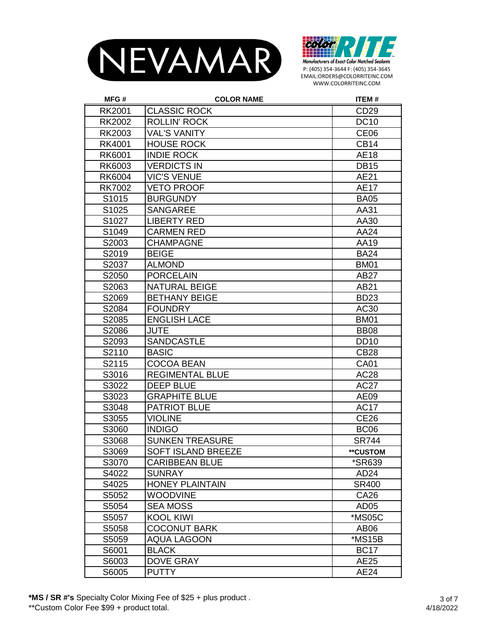



| MFG#              | <b>COLOR NAME</b>      | <b>ITEM#</b>         |
|-------------------|------------------------|----------------------|
| <b>RK2001</b>     | <b>CLASSIC ROCK</b>    | CD <sub>29</sub>     |
| <b>RK2002</b>     | <b>ROLLIN' ROCK</b>    | <b>DC10</b>          |
| <b>RK2003</b>     | <b>VAL'S VANITY</b>    | CE <sub>06</sub>     |
| RK4001            | <b>HOUSE ROCK</b>      | <b>CB14</b>          |
| RK6001            | <b>INDIE ROCK</b>      | <b>AE18</b>          |
| RK6003            | <b>VERDICTS IN</b>     | <b>DB15</b>          |
| <b>RK6004</b>     | <b>VIC'S VENUE</b>     | AE21                 |
| <b>RK7002</b>     | <b>VETO PROOF</b>      | <b>AE17</b>          |
| S1015             | <b>BURGUNDY</b>        | <b>BA05</b>          |
| S1025             | <b>SANGAREE</b>        | AA31                 |
| S <sub>1027</sub> | <b>LIBERTY RED</b>     | AA30                 |
| S1049             | <b>CARMEN RED</b>      | AA24                 |
| S2003             | <b>CHAMPAGNE</b>       | AA19                 |
| S2019             | <b>BEIGE</b>           | <b>BA24</b>          |
| S2037             | <b>ALMOND</b>          | <b>BM01</b>          |
| S2050             | <b>PORCELAIN</b>       | <b>AB27</b>          |
| S2063             | <b>NATURAL BEIGE</b>   | AB21                 |
| S2069             | <b>BETHANY BEIGE</b>   | <b>BD23</b>          |
| S2084             | <b>FOUNDRY</b>         | AC30                 |
| S2085             | <b>ENGLISH LACE</b>    | <b>BM01</b>          |
| S2086             | <b>JUTE</b>            | <b>BB08</b>          |
| S2093             | <b>SANDCASTLE</b>      | <b>DD10</b>          |
| S2110             | <b>BASIC</b>           | <b>CB28</b>          |
| S2115             | <b>COCOA BEAN</b>      | <b>CA01</b>          |
| S3016             | <b>REGIMENTAL BLUE</b> | AC28                 |
| S3022             | <b>DEEP BLUE</b>       | <b>AC27</b>          |
| S3023             | <b>GRAPHITE BLUE</b>   | AE09                 |
| S3048             | <b>PATRIOT BLUE</b>    | <b>AC17</b>          |
| S3055             | <b>VIOLINE</b>         | <b>CE26</b>          |
| S3060             | <b>INDIGO</b>          | BC <sub>06</sub>     |
| S3068             | <b>SUNKEN TREASURE</b> | <b>SR744</b>         |
| S3069             | SOFT ISLAND BREEZE     | **CUSTOM             |
| S3070             | <b>CARIBBEAN BLUE</b>  | <i><b>*SR639</b></i> |
| S4022             | <b>SUNRAY</b>          | AD <sub>24</sub>     |
| S4025             | <b>HONEY PLAINTAIN</b> | <b>SR400</b>         |
| S5052             | <b>WOODVINE</b>        | CA26                 |
| S5054             | <b>SEA MOSS</b>        | AD <sub>05</sub>     |
| S5057             | <b>KOOL KIWI</b>       | *MS05C               |
| S5058             | <b>COCONUT BARK</b>    | AB <sub>06</sub>     |
| S5059             | <b>AQUA LAGOON</b>     | *MS15B               |
| S6001             | <b>BLACK</b>           | <b>BC17</b>          |
| S6003             | <b>DOVE GRAY</b>       | AE25                 |
| S6005             | <b>PUTTY</b>           | AE24                 |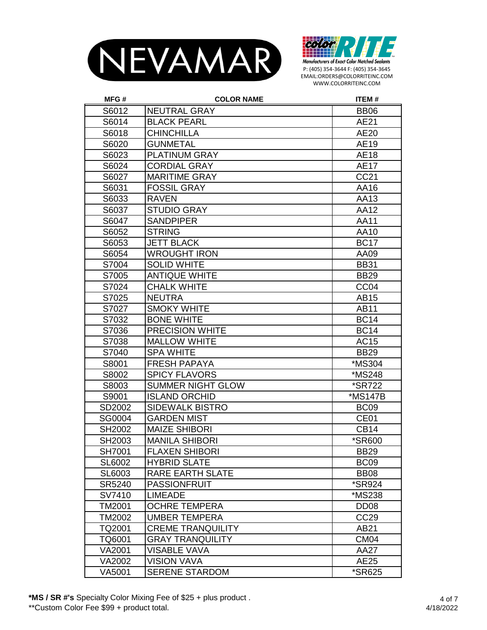



| MFG#          | <b>COLOR NAME</b>        | <b>ITEM#</b>         |
|---------------|--------------------------|----------------------|
| S6012         | <b>NEUTRAL GRAY</b>      | <b>BB06</b>          |
| S6014         | <b>BLACK PEARL</b>       | AE21                 |
| S6018         | <b>CHINCHILLA</b>        | <b>AE20</b>          |
| S6020         | <b>GUNMETAL</b>          | AE19                 |
| S6023         | <b>PLATINUM GRAY</b>     | <b>AE18</b>          |
| S6024         | <b>CORDIAL GRAY</b>      | <b>AE17</b>          |
| S6027         | <b>MARITIME GRAY</b>     | CC21                 |
| S6031         | <b>FOSSIL GRAY</b>       | AA16                 |
| S6033         | <b>RAVEN</b>             | AA13                 |
| S6037         | <b>STUDIO GRAY</b>       | AA12                 |
| S6047         | <b>SANDPIPER</b>         | <b>AA11</b>          |
| S6052         | <b>STRING</b>            | AA10                 |
| S6053         | <b>JETT BLACK</b>        | <b>BC17</b>          |
| S6054         | <b>WROUGHT IRON</b>      | AA09                 |
| S7004         | <b>SOLID WHITE</b>       | <b>BB31</b>          |
| S7005         | <b>ANTIQUE WHITE</b>     | <b>BB29</b>          |
| S7024         | <b>CHALK WHITE</b>       | CC <sub>04</sub>     |
| S7025         | <b>NEUTRA</b>            | AB15                 |
| S7027         | <b>SMOKY WHITE</b>       | <b>AB11</b>          |
| S7032         | <b>BONE WHITE</b>        | <b>BC14</b>          |
| S7036         | <b>PRECISION WHITE</b>   | <b>BC14</b>          |
| S7038         | <b>MALLOW WHITE</b>      | AC15                 |
| S7040         | <b>SPA WHITE</b>         | <b>BB29</b>          |
| S8001         | <b>FRESH PAPAYA</b>      | *MS304               |
| S8002         | <b>SPICY FLAVORS</b>     | *MS248               |
| S8003         | <b>SUMMER NIGHT GLOW</b> | <i><b>*SR722</b></i> |
| S9001         | <b>ISLAND ORCHID</b>     | *MS147B              |
| SD2002        | <b>SIDEWALK BISTRO</b>   | BC <sub>09</sub>     |
| SG0004        | <b>GARDEN MIST</b>       | CE01                 |
| SH2002        | <b>MAIZE SHIBORI</b>     | <b>CB14</b>          |
| SH2003        | <b>MANILA SHIBORI</b>    | *SR600               |
| SH7001        | <b>FLAXEN SHIBORI</b>    | <b>BB29</b>          |
| <b>SL6002</b> | <b>HYBRID SLATE</b>      | BC <sub>09</sub>     |
| SL6003        | RARE EARTH SLATE         | <b>BB08</b>          |
| SR5240        | <b>PASSIONFRUIT</b>      | <i><b>*SR924</b></i> |
| SV7410        | <b>LIMEADE</b>           | *MS238               |
| TM2001        | <b>OCHRE TEMPERA</b>     | DD <sub>08</sub>     |
| TM2002        | <b>UMBER TEMPERA</b>     | <b>CC29</b>          |
| TQ2001        | <b>CREME TRANQUILITY</b> | AB21                 |
| TQ6001        | <b>GRAY TRANQUILITY</b>  | CM <sub>04</sub>     |
| VA2001        | <b>VISABLE VAVA</b>      | AA27                 |
| VA2002        | <b>VISION VAVA</b>       | AE25                 |
| VA5001        | <b>SERENE STARDOM</b>    | *SR625               |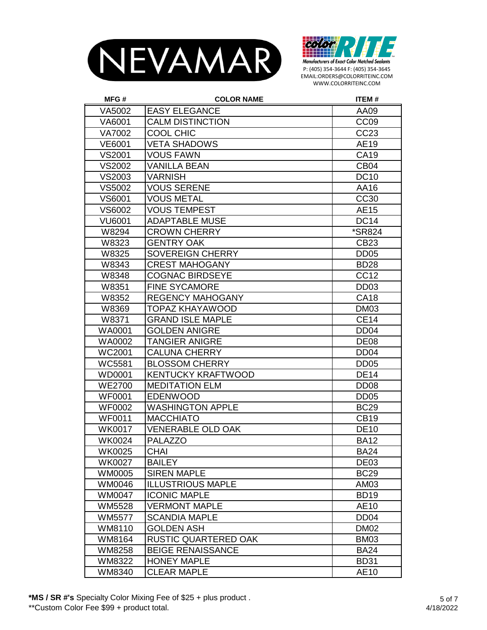



| MFG#          | <b>COLOR NAME</b>         | <b>ITEM#</b>     |
|---------------|---------------------------|------------------|
| VA5002        | <b>EASY ELEGANCE</b>      | AA09             |
| VA6001        | <b>CALM DISTINCTION</b>   | CC <sub>09</sub> |
| VA7002        | <b>COOL CHIC</b>          | CC23             |
| <b>VE6001</b> | <b>VETA SHADOWS</b>       | AE19             |
| <b>VS2001</b> | <b>VOUS FAWN</b>          | <b>CA19</b>      |
| VS2002        | <b>VANILLA BEAN</b>       | CB <sub>04</sub> |
| VS2003        | <b>VARNISH</b>            | <b>DC10</b>      |
| VS5002        | <b>VOUS SERENE</b>        | AA16             |
| VS6001        | <b>VOUS METAL</b>         | <b>CC30</b>      |
| VS6002        | <b>VOUS TEMPEST</b>       | <b>AE15</b>      |
| <b>VU6001</b> | <b>ADAPTABLE MUSE</b>     | <b>DC14</b>      |
| W8294         | <b>CROWN CHERRY</b>       | *SR824           |
| W8323         | <b>GENTRY OAK</b>         | CB23             |
| W8325         | <b>SOVEREIGN CHERRY</b>   | DD <sub>05</sub> |
| W8343         | <b>CREST MAHOGANY</b>     | <b>BD28</b>      |
| W8348         | <b>COGNAC BIRDSEYE</b>    | <b>CC12</b>      |
| W8351         | <b>FINE SYCAMORE</b>      | DD <sub>03</sub> |
| W8352         | <b>REGENCY MAHOGANY</b>   | <b>CA18</b>      |
| W8369         | <b>TOPAZ KHAYAWOOD</b>    | <b>DM03</b>      |
| W8371         | <b>GRAND ISLE MAPLE</b>   | <b>CE14</b>      |
| WA0001        | <b>GOLDEN ANIGRE</b>      | DD <sub>04</sub> |
| <b>WA0002</b> | <b>TANGIER ANIGRE</b>     | <b>DE08</b>      |
| WC2001        | <b>CALUNA CHERRY</b>      | DD <sub>04</sub> |
| WC5581        | <b>BLOSSOM CHERRY</b>     | DD <sub>05</sub> |
| <b>WD0001</b> | <b>KENTUCKY KRAFTWOOD</b> | <b>DE14</b>      |
| <b>WE2700</b> | <b>MEDITATION ELM</b>     | DD <sub>08</sub> |
| <b>WF0001</b> | <b>EDENWOOD</b>           | DD <sub>05</sub> |
| <b>WF0002</b> | <b>WASHINGTON APPLE</b>   | <b>BC29</b>      |
| <b>WF0011</b> | <b>MACCHIATO</b>          | <b>CB19</b>      |
| <b>WK0017</b> | <b>VENERABLE OLD OAK</b>  | <b>DE10</b>      |
| <b>WK0024</b> | <b>PALAZZO</b>            | <b>BA12</b>      |
| <b>WK0025</b> | <b>CHAI</b>               | <b>BA24</b>      |
| <b>WK0027</b> | <b>BAILEY</b>             | DE <sub>03</sub> |
| WM0005        | <b>SIREN MAPLE</b>        | <b>BC29</b>      |
| WM0046        | <b>ILLUSTRIOUS MAPLE</b>  | AM03             |
| WM0047        | <b>ICONIC MAPLE</b>       | <b>BD19</b>      |
| WM5528        | <b>VERMONT MAPLE</b>      | AE10             |
| WM5577        | <b>SCANDIA MAPLE</b>      | DD <sub>04</sub> |
| WM8110        | <b>GOLDEN ASH</b>         | <b>DM02</b>      |
| WM8164        | RUSTIC QUARTERED OAK      | <b>BM03</b>      |
| WM8258        | <b>BEIGE RENAISSANCE</b>  | <b>BA24</b>      |
| WM8322        | <b>HONEY MAPLE</b>        | <b>BD31</b>      |
| WM8340        | <b>CLEAR MAPLE</b>        | <b>AE10</b>      |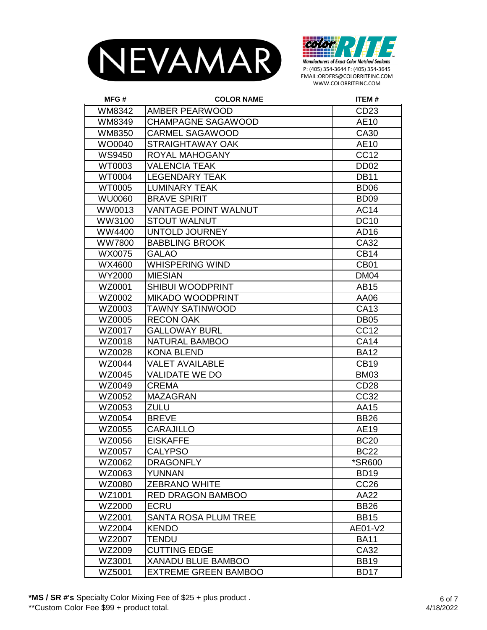



| MFG#          | <b>COLOR NAME</b>           | <b>ITEM#</b>     |
|---------------|-----------------------------|------------------|
| WM8342        | <b>AMBER PEARWOOD</b>       | CD <sub>23</sub> |
| WM8349        | <b>CHAMPAGNE SAGAWOOD</b>   | AE10             |
| WM8350        | CARMEL SAGAWOOD             | CA30             |
| WO0040        | <b>STRAIGHTAWAY OAK</b>     | AE10             |
| <b>WS9450</b> | ROYAL MAHOGANY              | <b>CC12</b>      |
| WT0003        | <b>VALENCIA TEAK</b>        | DD <sub>02</sub> |
| <b>WT0004</b> | <b>LEGENDARY TEAK</b>       | <b>DB11</b>      |
| <b>WT0005</b> | <b>LUMINARY TEAK</b>        | <b>BD06</b>      |
| <b>WU0060</b> | <b>BRAVE SPIRIT</b>         | BD <sub>09</sub> |
| WW0013        | <b>VANTAGE POINT WALNUT</b> | <b>AC14</b>      |
| WW3100        | <b>STOUT WALNUT</b>         | <b>DC10</b>      |
| WW4400        | UNTOLD JOURNEY              | AD16             |
| <b>WW7800</b> | <b>BABBLING BROOK</b>       | CA32             |
| WX0075        | <b>GALAO</b>                | <b>CB14</b>      |
| WX4600        | WHISPERING WIND             | CB <sub>01</sub> |
| WY2000        | <b>MIESIAN</b>              | <b>DM04</b>      |
| WZ0001        | <b>SHIBUI WOODPRINT</b>     | <b>AB15</b>      |
| WZ0002        | <b>MIKADO WOODPRINT</b>     | AA06             |
| WZ0003        | TAWNY SATINWOOD             | CA13             |
| WZ0005        | <b>RECON OAK</b>            | <b>DB05</b>      |
| WZ0017        | <b>GALLOWAY BURL</b>        | <b>CC12</b>      |
| WZ0018        | <b>NATURAL BAMBOO</b>       | <b>CA14</b>      |
| WZ0028        | <b>KONA BLEND</b>           | <b>BA12</b>      |
| WZ0044        | <b>VALET AVAILABLE</b>      | <b>CB19</b>      |
| WZ0045        | VALIDATE WE DO              | <b>BM03</b>      |
| WZ0049        | <b>CREMA</b>                | <b>CD28</b>      |
| WZ0052        | <b>MAZAGRAN</b>             | CC32             |
| WZ0053        | <b>ZULU</b>                 | AA15             |
| WZ0054        | <b>BREVE</b>                | <b>BB26</b>      |
| WZ0055        | <b>CARAJILLO</b>            | AE19             |
| WZ0056        | <b>EISKAFFE</b>             | <b>BC20</b>      |
| WZ0057        | <b>CALYPSO</b>              | <b>BC22</b>      |
| WZ0062        | <b>DRAGONFLY</b>            | *SR600           |
| WZ0063        | YUNNAN                      | <b>BD19</b>      |
| WZ0080        | <b>ZEBRANO WHITE</b>        | CC <sub>26</sub> |
| WZ1001        | <b>RED DRAGON BAMBOO</b>    | AA22             |
| WZ2000        | <b>ECRU</b>                 | <b>BB26</b>      |
| WZ2001        | <b>SANTA ROSA PLUM TREE</b> | <b>BB15</b>      |
| WZ2004        | <b>KENDO</b>                | AE01-V2          |
| WZ2007        | <b>TENDU</b>                | <b>BA11</b>      |
| WZ2009        | <b>CUTTING EDGE</b>         | CA32             |
| WZ3001        | <b>XANADU BLUE BAMBOO</b>   | <b>BB19</b>      |
| WZ5001        | <b>EXTREME GREEN BAMBOO</b> | <b>BD17</b>      |